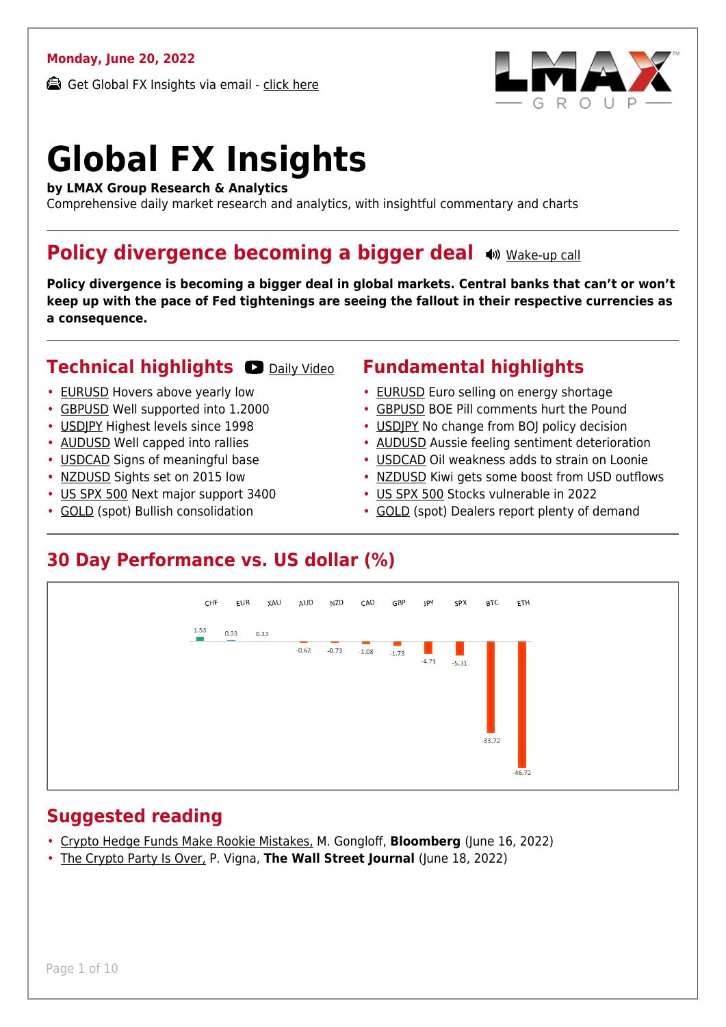#### **Monday, June 20, 2022**

Get Global FX Insights via email - [click here](https://www.lmax.com/blog/global-fx-insights/sign-up/?src=gfxipdf)



# **Global FX Insights**

**by LMAX Group Research & Analytics**

Comprehensive daily market research and analytics, with insightful commentary and charts

#### **Policy divergence becoming a bigger deal**  $\bullet$  [Wake-up call](https://www.lmax.com/blog/global-fx-insights/2022/06/20/policy-divergence-becoming-a-bigger-deal/?utm_source=GlobalFXInsights-Newsletter&utm_medium=Email&utm_campaign=GlobalFXInsights&audio=play#wakeup-53926)

**Policy divergence is becoming a bigger deal in global markets. Central banks that can't or won't keep up with the pace of Fed tightenings are seeing the fallout in their respective currencies as a consequence.**

#### **Technical highlights CO** [Daily Video](https://www.lmax.com/blog/global-fx-insights/2022/06/20/policy-divergence-becoming-a-bigger-deal/?utm_source=GlobalFXInsights-Newsletter&utm_medium=Email&utm_campaign=GlobalFXInsights&popup=watch#charttalk-53926)

- [EURUSD](#page-1-0) Hovers above yearly low
- [GBPUSD](#page-2-0) Well supported into 1.2000
- [USDJPY](#page-3-0) Highest levels since 1998
- [AUDUSD](#page-4-0) Well capped into rallies
- [USDCAD](#page-5-0) Signs of meaningful base
- [NZDUSD](#page-6-0) Sights set on 2015 low
- [US SPX 500](#page-7-0) Next major support 3400
- [GOLD](#page-8-0) (spot) Bullish consolidation

#### **Fundamental highlights**

- [EURUSD](#page-1-1) Euro selling on energy shortage
- [GBPUSD](#page-2-1) BOE Pill comments hurt the Pound
- USDIPY No change from BOI policy decision
- [AUDUSD](#page-4-1) Aussie feeling sentiment deterioration
- [USDCAD](#page-5-1) Oil weakness adds to strain on Loonie
- [NZDUSD](#page-6-1) Kiwi gets some boost from USD outflows
- [US SPX 500](#page-7-1) Stocks vulnerable in 2022
- [GOLD](#page-8-1) (spot) Dealers report plenty of demand

#### **30 Day Performance vs. US dollar (%)**



#### **Suggested reading**

- [Crypto Hedge Funds Make Rookie Mistakes,](https://www.lmax.com/blog/global-fx-insights/2022/06/20/policy-divergence-becoming-a-bigger-deal/?read=https://www.bloomberg.com/opinion/articles/2022-06-16/crypto-crash-hedge-fund-leverage-makes-losses-far-worse?srnd=opinion-markets#xj4y7vzkg) M. Gongloff, **Bloomberg** (June 16, 2022)
- [The Crypto Party Is Over,](https://www.lmax.com/blog/global-fx-insights/2022/06/20/policy-divergence-becoming-a-bigger-deal/?read=https://www.wsj.com/articles/the-crypto-party-is-over-11655524807?mod=e2tw) P. Vigna, **The Wall Street Journal** (June 18, 2022)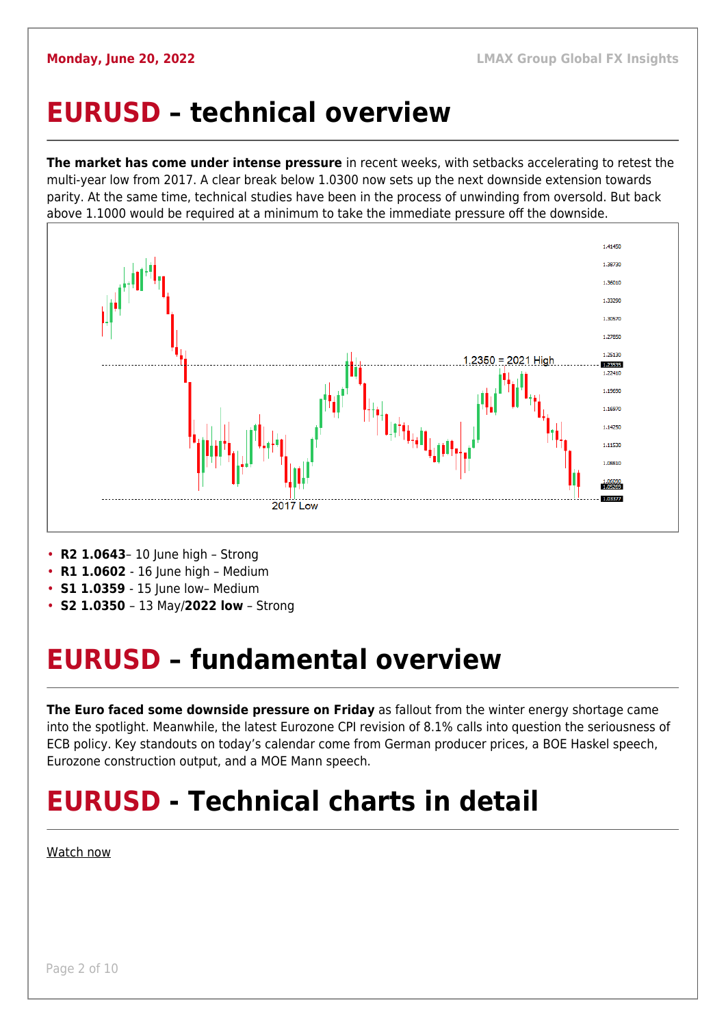#### <span id="page-1-0"></span>**EURUSD – technical overview**

**The market has come under intense pressure** in recent weeks, with setbacks accelerating to retest the multi-year low from 2017. A clear break below 1.0300 now sets up the next downside extension towards parity. At the same time, technical studies have been in the process of unwinding from oversold. But back above 1.1000 would be required at a minimum to take the immediate pressure off the downside.



- **R2 1.0643** 10 June high Strong
- **R1 1.0602** 16 June high Medium
- **S1 1.0359**  15 June low– Medium
- **S2 1.0350**  13 May/**2022 low** Strong

### <span id="page-1-1"></span>**EURUSD – fundamental overview**

**The Euro faced some downside pressure on Friday** as fallout from the winter energy shortage came into the spotlight. Meanwhile, the latest Eurozone CPI revision of 8.1% calls into question the seriousness of ECB policy. Key standouts on today's calendar come from German producer prices, a BOE Haskel speech, Eurozone construction output, and a MOE Mann speech.

### **EURUSD - Technical charts in detail**

[Watch now](https://youtu.be/1s_gNAwnbnA)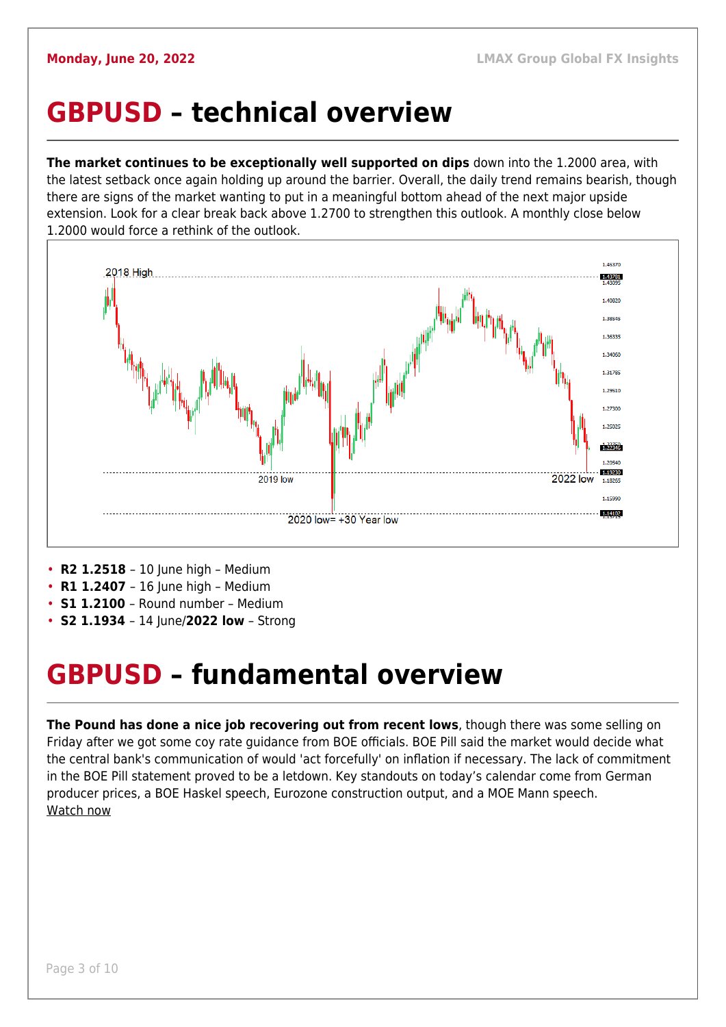#### <span id="page-2-0"></span>**GBPUSD – technical overview**

**The market continues to be exceptionally well supported on dips** down into the 1.2000 area, with the latest setback once again holding up around the barrier. Overall, the daily trend remains bearish, though there are signs of the market wanting to put in a meaningful bottom ahead of the next major upside extension. Look for a clear break back above 1.2700 to strengthen this outlook. A monthly close below 1.2000 would force a rethink of the outlook.



- **R2 1.2518** 10 June high Medium
- **R1 1.2407** 16 June high Medium
- **S1 1.2100**  Round number Medium
- **S2 1.1934**  14 June/**2022 low** Strong

#### <span id="page-2-1"></span>**GBPUSD – fundamental overview**

**The Pound has done a nice job recovering out from recent lows**, though there was some selling on Friday after we got some coy rate guidance from BOE officials. BOE Pill said the market would decide what the central bank's communication of would 'act forcefully' on inflation if necessary. The lack of commitment in the BOE Pill statement proved to be a letdown. Key standouts on today's calendar come from German producer prices, a BOE Haskel speech, Eurozone construction output, and a MOE Mann speech. [Watch now](https://youtu.be/GxHVYmz0ISI)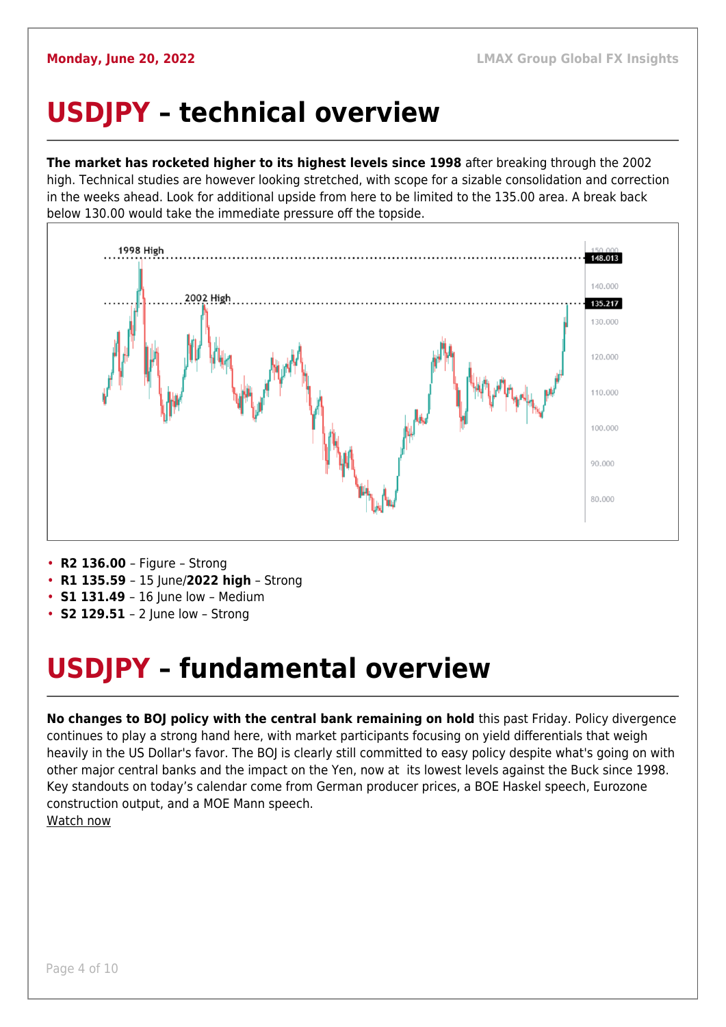## <span id="page-3-0"></span>**USDJPY – technical overview**

**The market has rocketed higher to its highest levels since 1998** after breaking through the 2002 high. Technical studies are however looking stretched, with scope for a sizable consolidation and correction in the weeks ahead. Look for additional upside from here to be limited to the 135.00 area. A break back below 130.00 would take the immediate pressure off the topside.



- **R2 136.00**  Figure Strong
- **R1 135.59**  15 June/**2022 high** Strong
- **S1 131.49** 16 June low Medium
- **S2 129.51**  2 June low Strong

## <span id="page-3-1"></span>**USDJPY – fundamental overview**

**No changes to BOJ policy with the central bank remaining on hold** this past Friday. Policy divergence continues to play a strong hand here, with market participants focusing on yield differentials that weigh heavily in the US Dollar's favor. The BOJ is clearly still committed to easy policy despite what's going on with other major central banks and the impact on the Yen, now at its lowest levels against the Buck since 1998. Key standouts on today's calendar come from German producer prices, a BOE Haskel speech, Eurozone construction output, and a MOE Mann speech. [Watch now](https://youtu.be/5iw8z8kH8EU)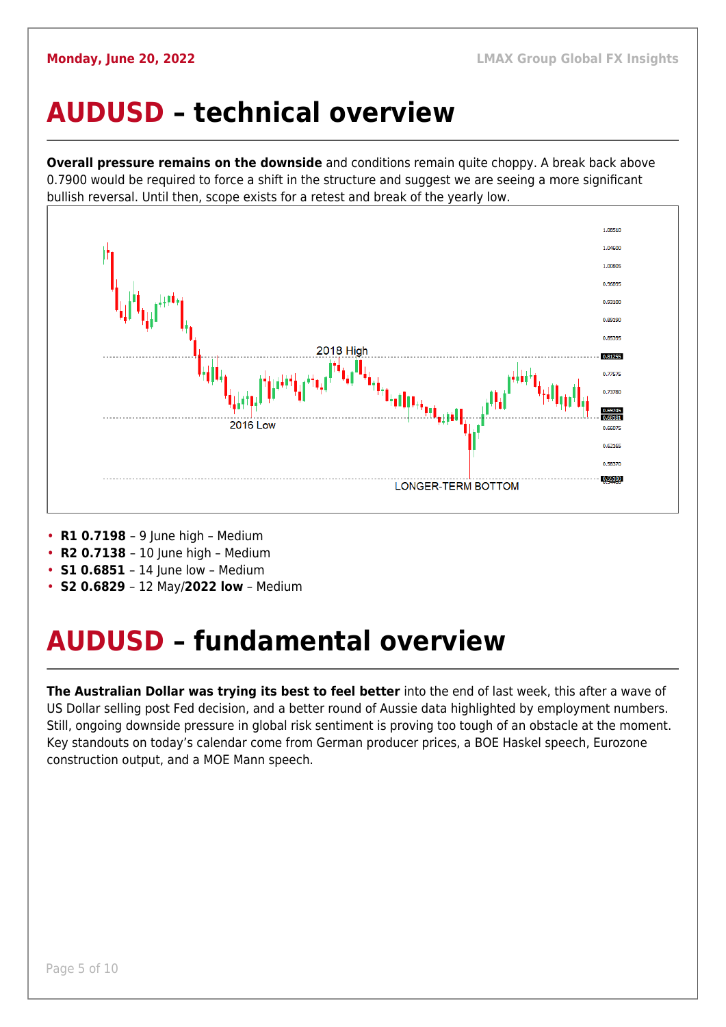### <span id="page-4-0"></span>**AUDUSD – technical overview**

**Overall pressure remains on the downside** and conditions remain quite choppy. A break back above 0.7900 would be required to force a shift in the structure and suggest we are seeing a more significant bullish reversal. Until then, scope exists for a retest and break of the yearly low.



- **R1 0.7198**  9 June high Medium
- **R2 0.7138**  10 June high Medium
- **S1 0.6851** 14 June low Medium
- **S2 0.6829**  12 May/**2022 low** Medium

## <span id="page-4-1"></span>**AUDUSD – fundamental overview**

**The Australian Dollar was trying its best to feel better** into the end of last week, this after a wave of US Dollar selling post Fed decision, and a better round of Aussie data highlighted by employment numbers. Still, ongoing downside pressure in global risk sentiment is proving too tough of an obstacle at the moment. Key standouts on today's calendar come from German producer prices, a BOE Haskel speech, Eurozone construction output, and a MOE Mann speech.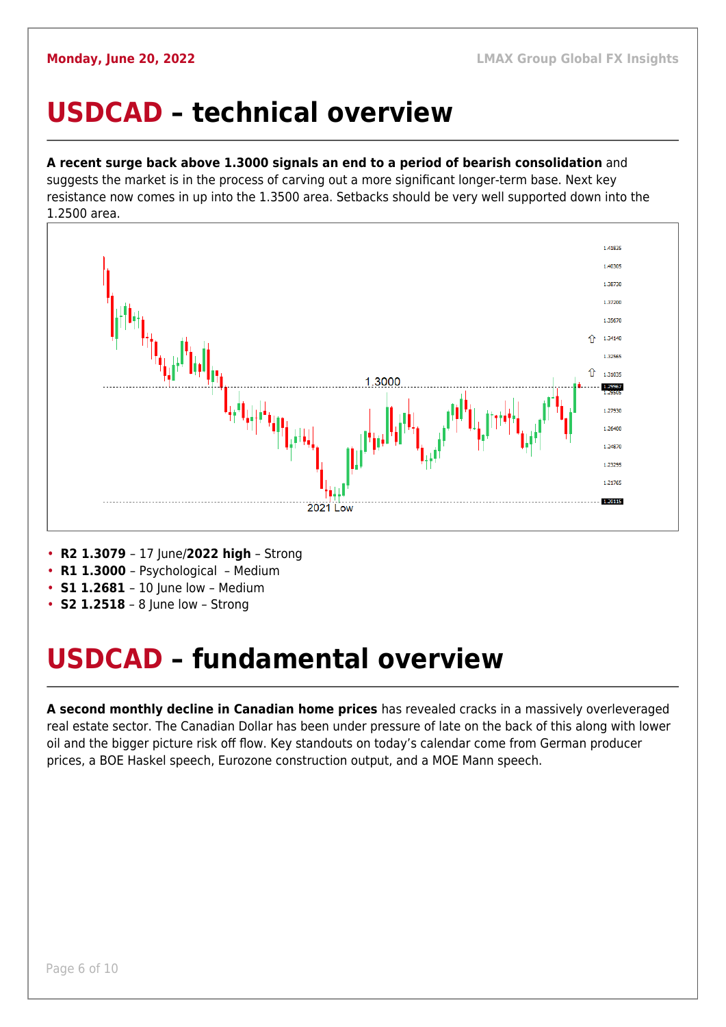#### <span id="page-5-0"></span>**USDCAD – technical overview**

#### **A recent surge back above 1.3000 signals an end to a period of bearish consolidation** and

suggests the market is in the process of carving out a more significant longer-term base. Next key resistance now comes in up into the 1.3500 area. Setbacks should be very well supported down into the 1.2500 area.



- **R2 1.3079**  17 June/**2022 high** Strong
- **R1 1.3000**  Psychological Medium
- **S1 1.2681**  10 June low Medium
- **S2 1.2518** 8 June low Strong

### <span id="page-5-1"></span>**USDCAD – fundamental overview**

**A second monthly decline in Canadian home prices** has revealed cracks in a massively overleveraged real estate sector. The Canadian Dollar has been under pressure of late on the back of this along with lower oil and the bigger picture risk off flow. Key standouts on today's calendar come from German producer prices, a BOE Haskel speech, Eurozone construction output, and a MOE Mann speech.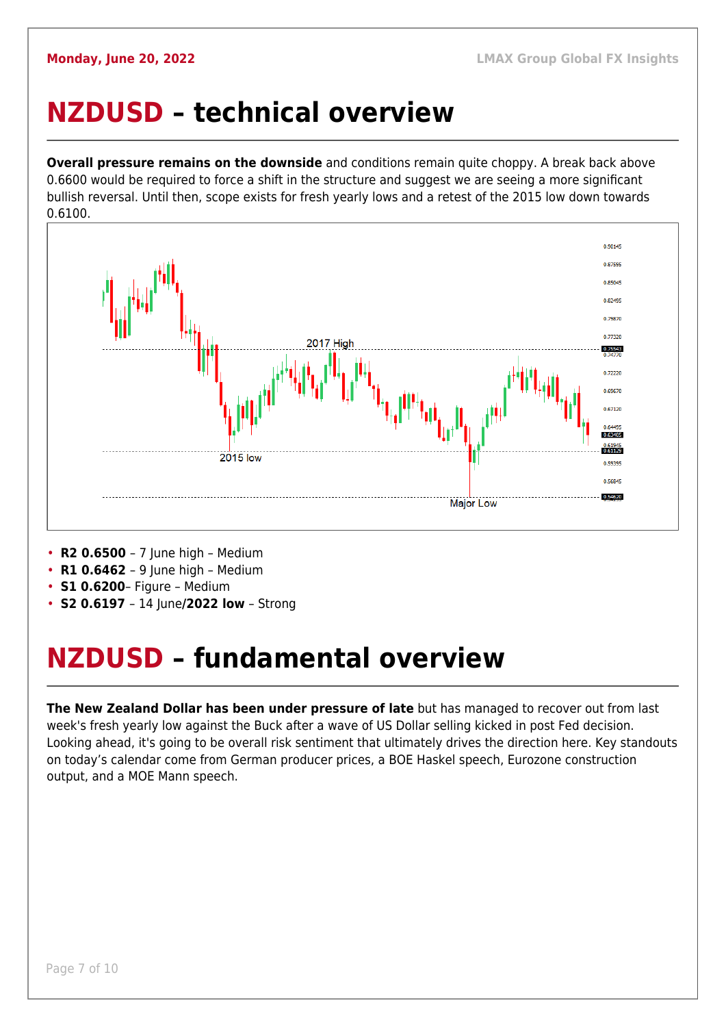### <span id="page-6-0"></span>**NZDUSD – technical overview**

**Overall pressure remains on the downside** and conditions remain quite choppy. A break back above 0.6600 would be required to force a shift in the structure and suggest we are seeing a more significant bullish reversal. Until then, scope exists for fresh yearly lows and a retest of the 2015 low down towards 0.6100.



- **R2 0.6500**  7 June high Medium
- **R1 0.6462**  9 June high Medium
- **S1 0.6200** Figure Medium
- **S2 0.6197**  14 June**/2022 low** Strong

## <span id="page-6-1"></span>**NZDUSD – fundamental overview**

**The New Zealand Dollar has been under pressure of late** but has managed to recover out from last week's fresh yearly low against the Buck after a wave of US Dollar selling kicked in post Fed decision. Looking ahead, it's going to be overall risk sentiment that ultimately drives the direction here. Key standouts on today's calendar come from German producer prices, a BOE Haskel speech, Eurozone construction output, and a MOE Mann speech.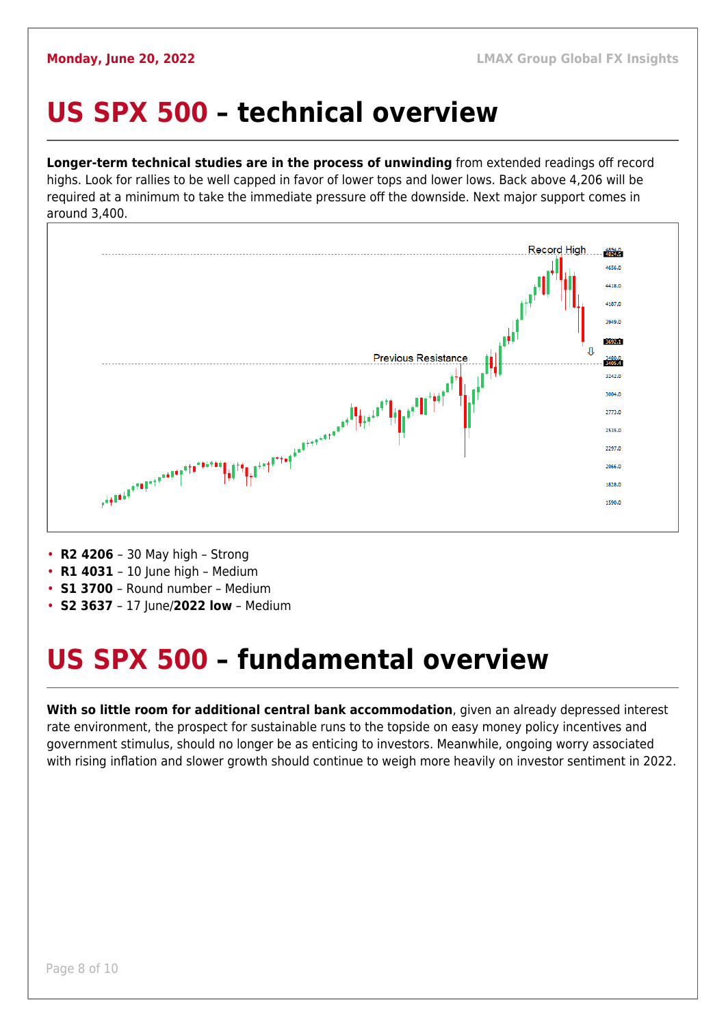#### <span id="page-7-0"></span>**US SPX 500 – technical overview**

**Longer-term technical studies are in the process of unwinding** from extended readings off record highs. Look for rallies to be well capped in favor of lower tops and lower lows. Back above 4,206 will be required at a minimum to take the immediate pressure off the downside. Next major support comes in around 3,400.



- **R2 4206**  30 May high Strong
- **R1 4031** 10 June high Medium
- **S1 3700**  Round number Medium
- **S2 3637**  17 June/**2022 low** Medium

## <span id="page-7-1"></span>**US SPX 500 – fundamental overview**

**With so little room for additional central bank accommodation**, given an already depressed interest rate environment, the prospect for sustainable runs to the topside on easy money policy incentives and government stimulus, should no longer be as enticing to investors. Meanwhile, ongoing worry associated with rising inflation and slower growth should continue to weigh more heavily on investor sentiment in 2022.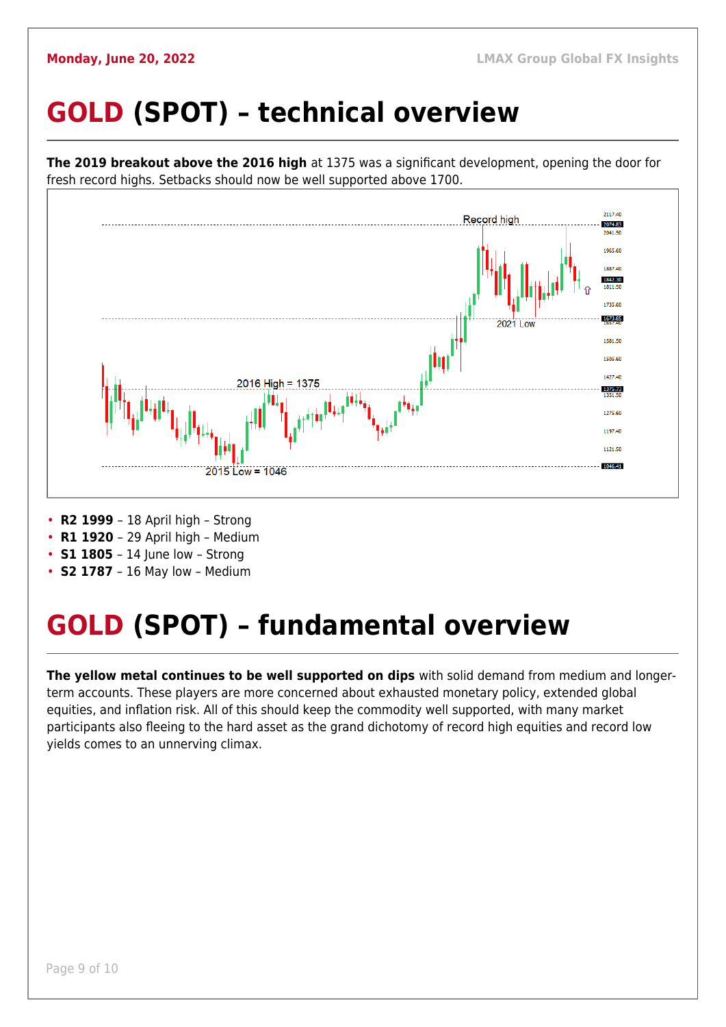## <span id="page-8-0"></span>**GOLD (SPOT) – technical overview**



- **S1 1805** 14 June low Strong
- **S2 1787**  16 May low Medium

## <span id="page-8-1"></span>**GOLD (SPOT) – fundamental overview**

**The yellow metal continues to be well supported on dips** with solid demand from medium and longerterm accounts. These players are more concerned about exhausted monetary policy, extended global equities, and inflation risk. All of this should keep the commodity well supported, with many market participants also fleeing to the hard asset as the grand dichotomy of record high equities and record low yields comes to an unnerving climax.